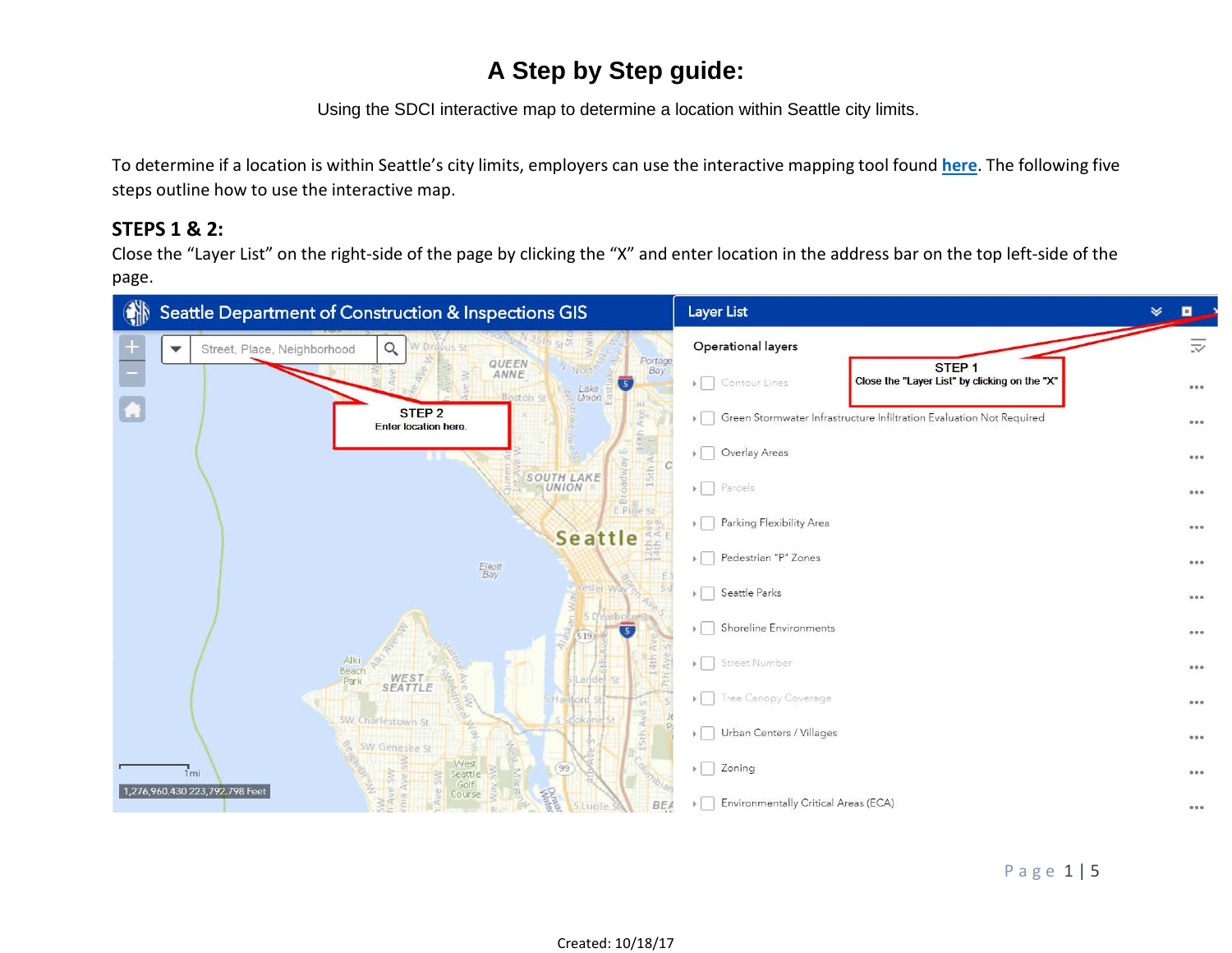Using the SDCI interactive map to determine a location within Seattle city limits.

To determine if a location is within Seattle's city limits, employers can use the interactive mapping tool found **[here](http://seattlecitygis.maps.arcgis.com/apps/webappviewer/index.html?id=f822b2c6498c4163b0cf908e2241e9c2)**. The following five steps outline how to use the interactive map.

#### **STEPS 1 & 2:**

Close the "Layer List" on the right-side of the page by clicking the "X" and enter location in the address bar on the top left-side of the page.

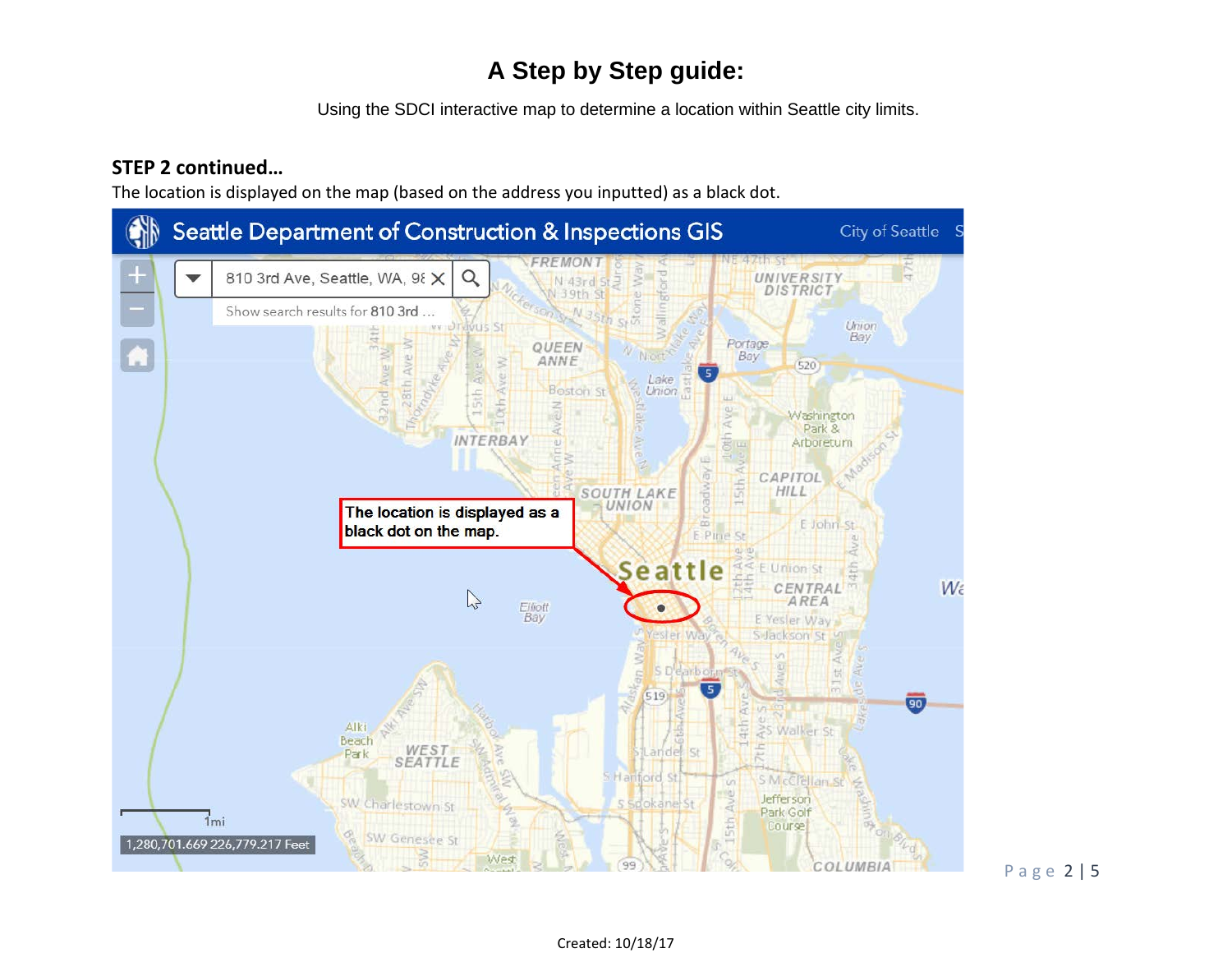Using the SDCI interactive map to determine a location within Seattle city limits.

#### **STEP 2 continued…**

The location is displayed on the map (based on the address you inputted) as a black dot.



Page 2 | 5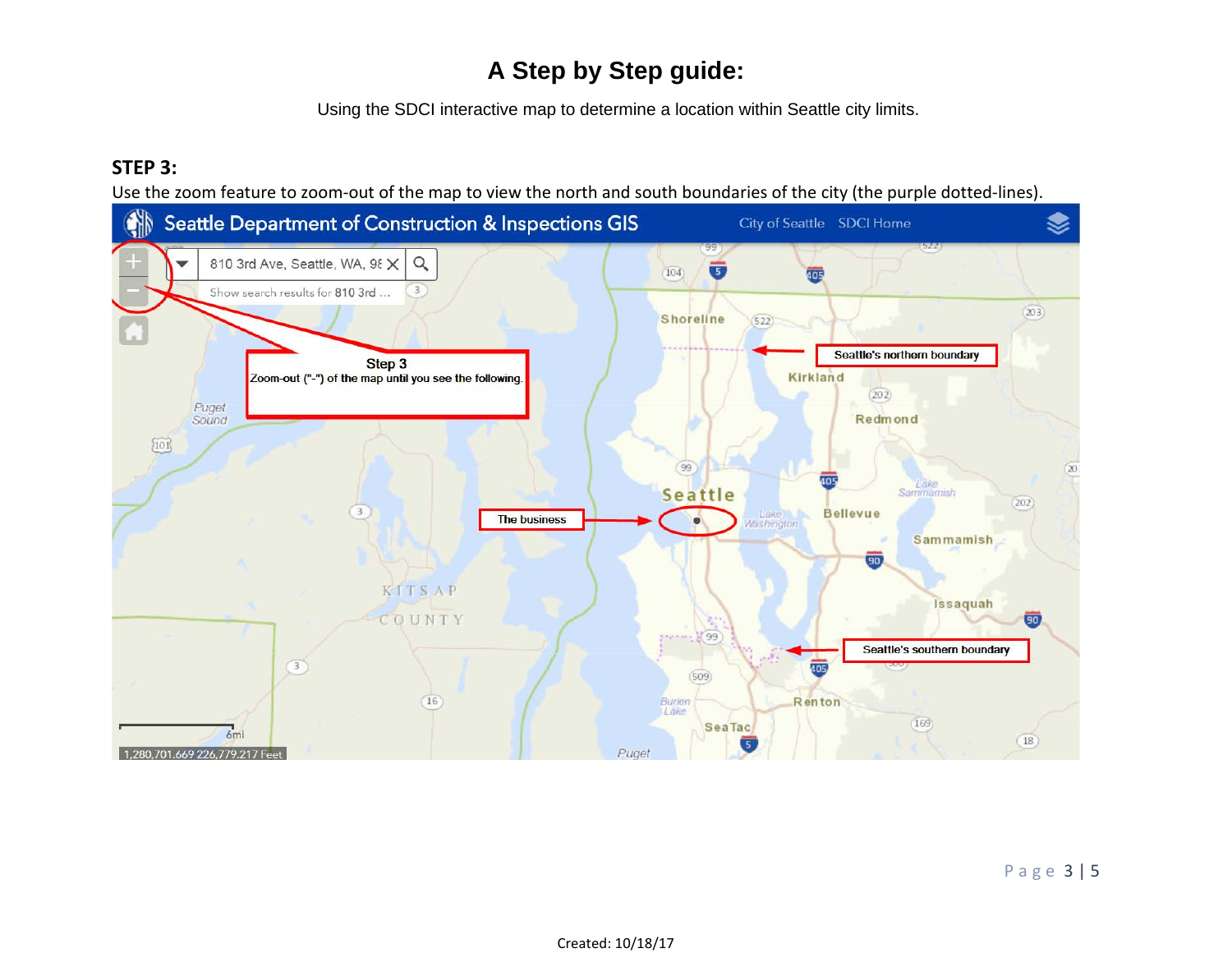Using the SDCI interactive map to determine a location within Seattle city limits.

### **STEP 3:**

Use the zoom feature to zoom-out of the map to view the north and south boundaries of the city (the purple dotted-lines).

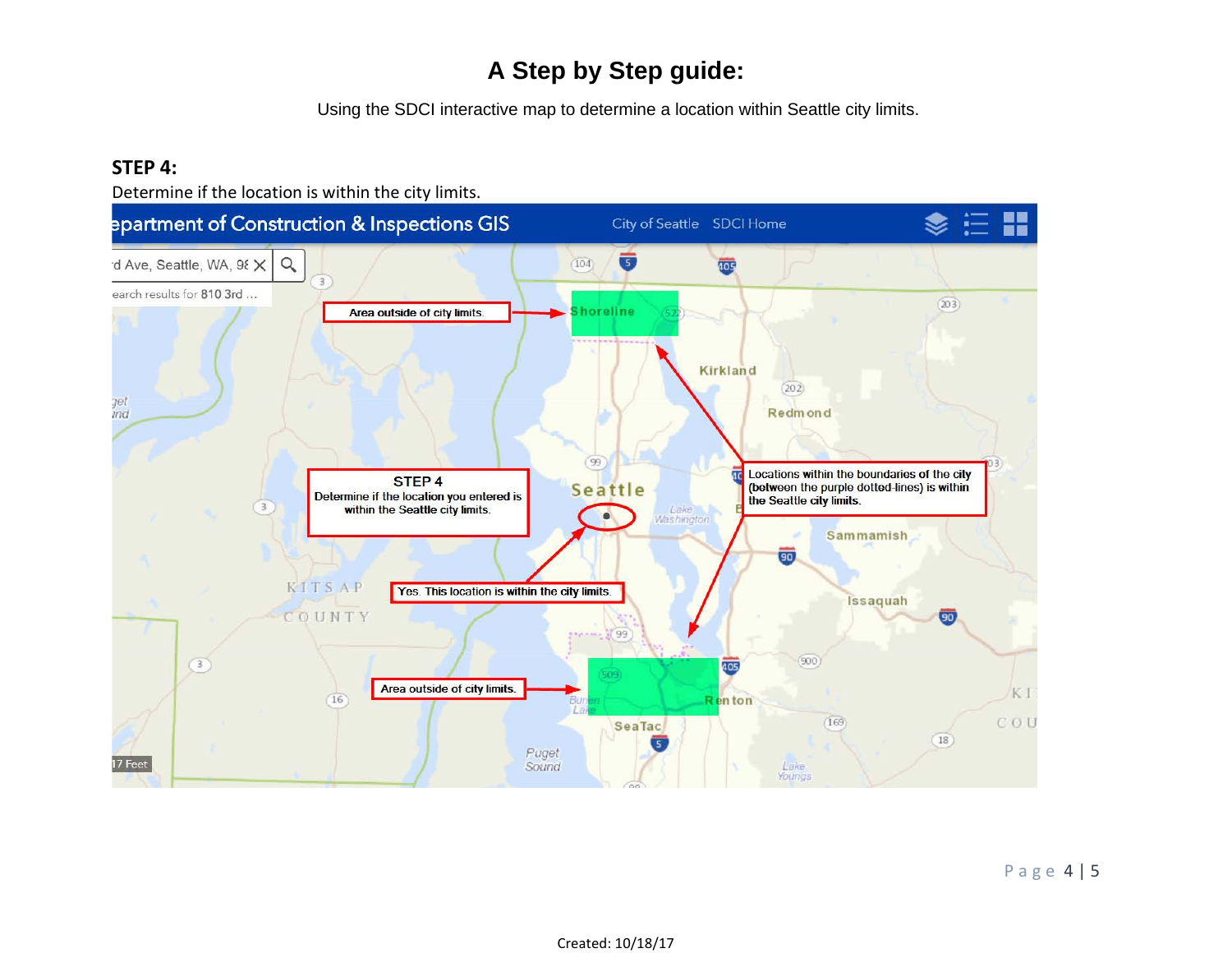Using the SDCI interactive map to determine a location within Seattle city limits.

#### **STEP 4:**

Determine if the location is within the city limits.